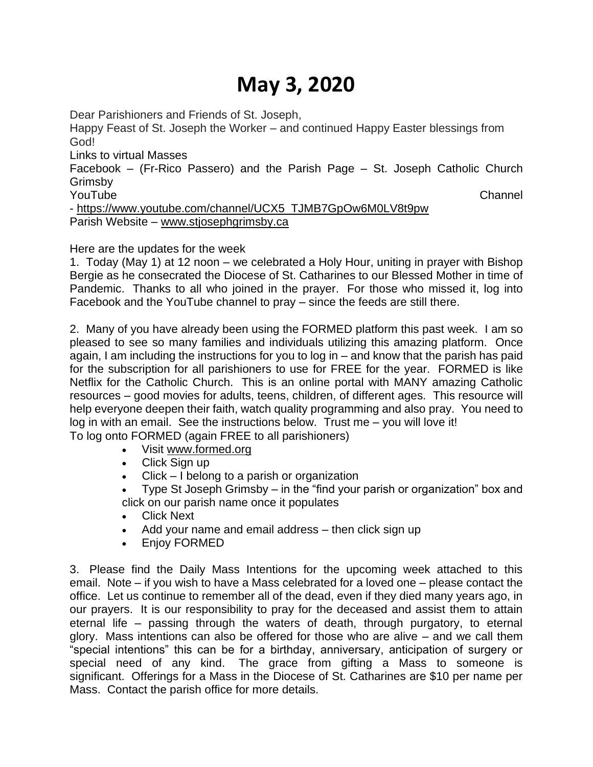# **May 3, 2020**

Dear Parishioners and Friends of St. Joseph,

Happy Feast of St. Joseph the Worker – and continued Happy Easter blessings from God!

Links to virtual Masses

Facebook – (Fr-Rico Passero) and the Parish Page – St. Joseph Catholic Church Grimsby

YouTube Channel

- [https://www.youtube.com/channel/UCX5\\_TJMB7GpOw6M0LV8t9pw](https://www.youtube.com/channel/UCX5_TJMB7GpOw6M0LV8t9pw) Parish Website – [www.stjosephgrimsby.ca](http://www.stjosephgrimsby.ca/)

Here are the updates for the week

1. Today (May 1) at 12 noon – we celebrated a Holy Hour, uniting in prayer with Bishop Bergie as he consecrated the Diocese of St. Catharines to our Blessed Mother in time of Pandemic. Thanks to all who joined in the prayer. For those who missed it, log into Facebook and the YouTube channel to pray – since the feeds are still there.

2. Many of you have already been using the FORMED platform this past week. I am so pleased to see so many families and individuals utilizing this amazing platform. Once again, I am including the instructions for you to log in – and know that the parish has paid for the subscription for all parishioners to use for FREE for the year. FORMED is like Netflix for the Catholic Church. This is an online portal with MANY amazing Catholic resources – good movies for adults, teens, children, of different ages. This resource will help everyone deepen their faith, watch quality programming and also pray. You need to log in with an email. See the instructions below. Trust me – you will love it! To log onto FORMED (again FREE to all parishioners)

• Visit [www.formed.org](http://www.formed.org/)

- Click Sign up
- Click I belong to a parish or organization
- Type St Joseph Grimsby in the "find your parish or organization" box and click on our parish name once it populates
- Click Next
- Add your name and email address then click sign up
- Enjoy FORMED

3. Please find the Daily Mass Intentions for the upcoming week attached to this email. Note – if you wish to have a Mass celebrated for a loved one – please contact the office. Let us continue to remember all of the dead, even if they died many years ago, in our prayers. It is our responsibility to pray for the deceased and assist them to attain eternal life – passing through the waters of death, through purgatory, to eternal glory. Mass intentions can also be offered for those who are alive – and we call them "special intentions" this can be for a birthday, anniversary, anticipation of surgery or special need of any kind. The grace from gifting a Mass to someone is significant. Offerings for a Mass in the Diocese of St. Catharines are \$10 per name per Mass. Contact the parish office for more details.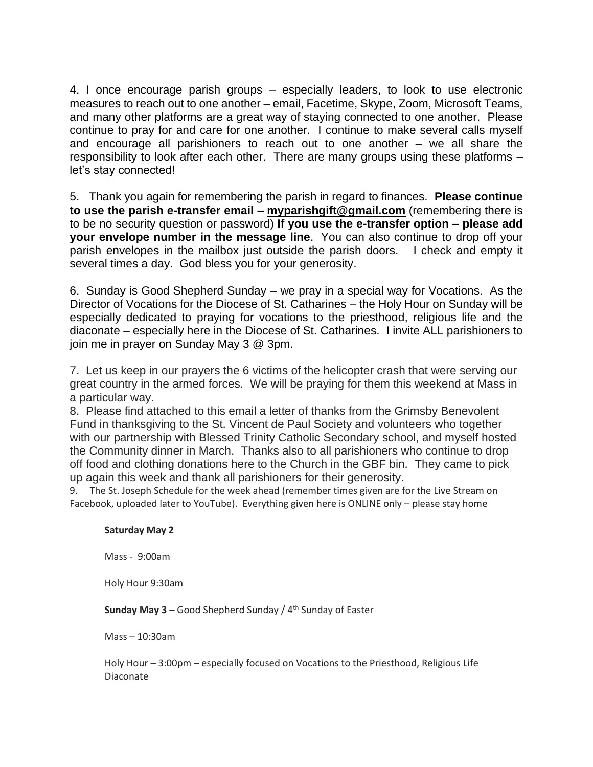4. I once encourage parish groups – especially leaders, to look to use electronic measures to reach out to one another – email, Facetime, Skype, Zoom, Microsoft Teams, and many other platforms are a great way of staying connected to one another. Please continue to pray for and care for one another. I continue to make several calls myself and encourage all parishioners to reach out to one another – we all share the responsibility to look after each other. There are many groups using these platforms – let's stay connected!

5. Thank you again for remembering the parish in regard to finances. **Please continue to use the parish e-transfer email – [myparishgift@gmail.com](mailto:myparishgift@gmail.com)** (remembering there is to be no security question or password) **If you use the e-transfer option – please add your envelope number in the message line**. You can also continue to drop off your parish envelopes in the mailbox just outside the parish doors. I check and empty it several times a day. God bless you for your generosity.

6. Sunday is Good Shepherd Sunday – we pray in a special way for Vocations. As the Director of Vocations for the Diocese of St. Catharines – the Holy Hour on Sunday will be especially dedicated to praying for vocations to the priesthood, religious life and the diaconate – especially here in the Diocese of St. Catharines. I invite ALL parishioners to join me in prayer on Sunday May 3 @ 3pm.

7. Let us keep in our prayers the 6 victims of the helicopter crash that were serving our great country in the armed forces. We will be praying for them this weekend at Mass in a particular way.

8. Please find attached to this email a letter of thanks from the Grimsby Benevolent Fund in thanksgiving to the St. Vincent de Paul Society and volunteers who together with our partnership with Blessed Trinity Catholic Secondary school, and myself hosted the Community dinner in March. Thanks also to all parishioners who continue to drop off food and clothing donations here to the Church in the GBF bin. They came to pick up again this week and thank all parishioners for their generosity.

9. The St. Joseph Schedule for the week ahead (remember times given are for the Live Stream on Facebook, uploaded later to YouTube). Everything given here is ONLINE only – please stay home

## **Saturday May 2**

Mass - 9:00am

Holy Hour 9:30am

**Sunday May 3** – Good Shepherd Sunday / 4<sup>th</sup> Sunday of Easter

Mass – 10:30am

Holy Hour – 3:00pm – especially focused on Vocations to the Priesthood, Religious Life Diaconate